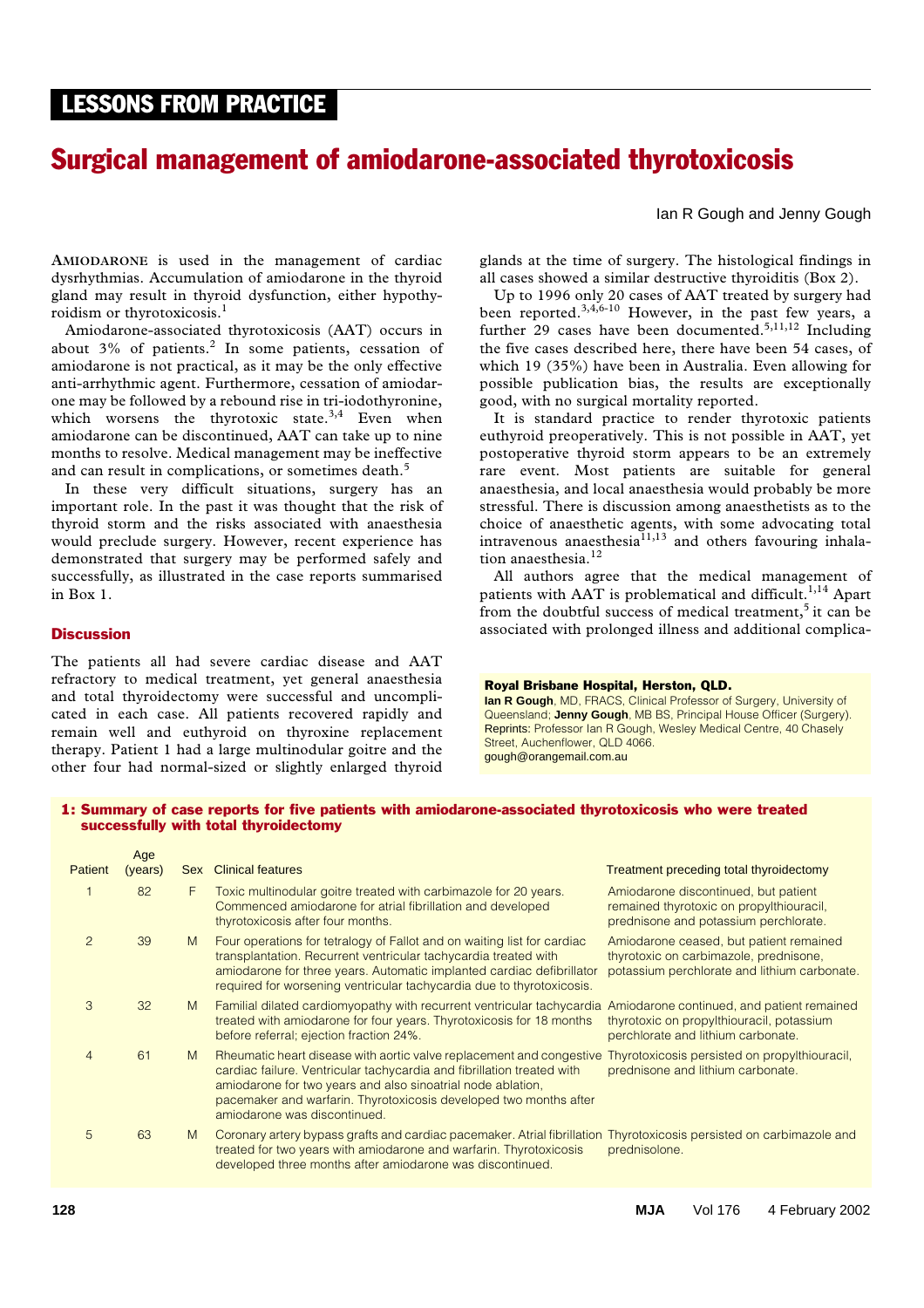# LESSONS FROM PRACTICE LESSONS FROM PRACTICE

# Surgical management of amiodarone-associated thyrotoxicosis

Ian R Gough and Jenny Gough

**AMIODARONE** is used in the management of cardiac dysrhythmias. Accumulation of amiodarone in the thyroid gland may result in thyroid dysfunction, either hypothyroidism or thyrotoxicosis.<sup>1</sup>

which worsens the thyrotoxic state.<sup>3,4</sup> Even when It is  $\mathbf s$ amiodarone can be discontinued, AAT can take up to nine months to resolve. Medical management may be ineffective Amiodarone-associated thyrotoxicosis (AAT) occurs in about  $3\%$  of patients.<sup>2</sup> In some patients, cessation of amiodarone is not practical, as it may be the only effective anti-arrhythmic agent. Furthermore, cessation of amiodarone may be followed by a rebound rise in tri-iodothyronine, and can result in complications, or sometimes death.<sup>5</sup>

In these very difficult situations, surgery has an important role. In the past it was thought that the risk of thyroid storm and the risks associated with anaesthesia would preclude surgery. However, recent experience has demonstrated that surgery may be performed safely and successfully, as illustrated in the case reports summarised in Box 1.

#### **Discussion**

The patients all had severe cardiac disease and AAT refractory to medical treatment, yet general anaesthesia and total thyroidectomy were successful and uncomplicated in each case. All patients recovered rapidly and remain well and euthyroid on thyroxine replacement therapy. Patient 1 had a large multinodular goitre and the other four had normal-sized or slightly enlarged thyroid glands at the time of surgery. The histological findings in all cases showed a similar destructive thyroiditis (Box 2).

Up to 1996 only 20 cases of AAT treated by surgery had been reported.<sup>3,4,6-10</sup> However, in the past few years, a further 29 cases have been documented.<sup>5,11,12</sup> Including the five cases described here, there have been 54 cases, of which 19 (35%) have been in Australia. Even allowing for possible publication bias, the results are exceptionally good, with no surgical mortality reported.

It is standard practice to render thyrotoxic patients euthyroid preoperatively. This is not possible in AAT, yet postoperative thyroid storm appears to be an extremely rare event. Most patients are suitable for general anaesthesia, and local anaesthesia would probably be more stressful. There is discussion among anaesthetists as to the choice of anaesthetic agents, with some advocating total intravenous anaesthesia $11,13$  and others favouring inhalation anaesthesia.<sup>12</sup>

All authors agree that the medical management of patients with AAT is problematical and difficult.<sup>1,14</sup> Apart from the doubtful success of medical treatment, $5$  it can be associated with prolonged illness and additional complica-

#### Royal Brisbane Hospital, Herston, QLD.

**Ian R Gough**, MD, FRACS, Clinical Professor of Surgery, University of Queensland; **Jenny Gough**, MB BS, Principal House Officer (Surgery). Reprints: Professor Ian R Gough, Wesley Medical Centre, 40 Chasely Street, Auchenflower, QLD 4066. gough@orangemail.com.au

## 1: Summary of case reports for five patients with amiodarone-associated thyrotoxicosis who were treated successfully with total thyroidectomy

|                | Age     |            |                                                                                                                                                                                                                                                                                                                                                                  |                                                                                                                                   |
|----------------|---------|------------|------------------------------------------------------------------------------------------------------------------------------------------------------------------------------------------------------------------------------------------------------------------------------------------------------------------------------------------------------------------|-----------------------------------------------------------------------------------------------------------------------------------|
| <b>Patient</b> | (years) | <b>Sex</b> | <b>Clinical features</b>                                                                                                                                                                                                                                                                                                                                         | Treatment preceding total thyroidectomy                                                                                           |
|                | 82      | F          | Toxic multinodular goitre treated with carbimazole for 20 years.<br>Commenced amiodarone for atrial fibrillation and developed<br>thyrotoxicosis after four months.                                                                                                                                                                                              | Amiodarone discontinued, but patient<br>remained thyrotoxic on propylthiouracil,<br>prednisone and potassium perchlorate.         |
| $\overline{2}$ | 39      | M          | Four operations for tetralogy of Fallot and on waiting list for cardiac<br>transplantation. Recurrent ventricular tachycardia treated with<br>amiodarone for three years. Automatic implanted cardiac defibrillator<br>required for worsening ventricular tachycardia due to thyrotoxicosis.                                                                     | Amiodarone ceased, but patient remained<br>thyrotoxic on carbimazole, prednisone,<br>potassium perchlorate and lithium carbonate. |
| 3              | 32      | M          | Familial dilated cardiomyopathy with recurrent ventricular tachycardia<br>treated with amiodarone for four years. Thyrotoxicosis for 18 months<br>before referral; ejection fraction 24%.                                                                                                                                                                        | Amiodarone continued, and patient remained<br>thyrotoxic on propylthiouracil, potassium<br>perchlorate and lithium carbonate.     |
| $\overline{4}$ | 61      | M          | Rheumatic heart disease with aortic valve replacement and congestive Thyrotoxicosis persisted on propylthiouracil,<br>cardiac failure. Ventricular tachycardia and fibrillation treated with<br>amiodarone for two years and also sinoatrial node ablation,<br>pacemaker and warfarin. Thyrotoxicosis developed two months after<br>amiodarone was discontinued. | prednisone and lithium carbonate.                                                                                                 |
| 5              | 63      | M          | Coronary artery bypass grafts and cardiac pacemaker. Atrial fibrillation Thyrotoxicosis persisted on carbimazole and<br>treated for two years with amiodarone and warfarin. Thyrotoxicosis<br>developed three months after amiodarone was discontinued.                                                                                                          | prednisolone.                                                                                                                     |